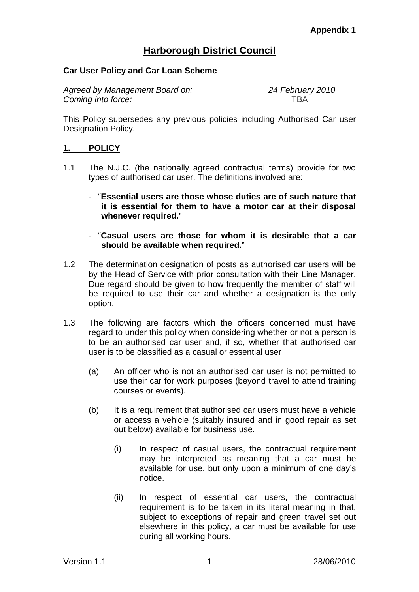# **Harborough District Council**

### **Car User Policy and Car Loan Scheme**

Agreed by Management Board on: 24 February 2010 Coming into force: TBA

This Policy supersedes any previous policies including Authorised Car user Designation Policy.

### **1. POLICY**

- 1.1 The N.J.C. (the nationally agreed contractual terms) provide for two types of authorised car user. The definitions involved are:
	- "**Essential users are those whose duties are of such nature that it is essential for them to have a motor car at their disposal whenever required.**"
	- "**Casual users are those for whom it is desirable that a car should be available when required.**"
- 1.2 The determination designation of posts as authorised car users will be by the Head of Service with prior consultation with their Line Manager. Due regard should be given to how frequently the member of staff will be required to use their car and whether a designation is the only option.
- 1.3 The following are factors which the officers concerned must have regard to under this policy when considering whether or not a person is to be an authorised car user and, if so, whether that authorised car user is to be classified as a casual or essential user
	- (a) An officer who is not an authorised car user is not permitted to use their car for work purposes (beyond travel to attend training courses or events).
	- (b) It is a requirement that authorised car users must have a vehicle or access a vehicle (suitably insured and in good repair as set out below) available for business use.
		- (i) In respect of casual users, the contractual requirement may be interpreted as meaning that a car must be available for use, but only upon a minimum of one day's notice.
		- (ii) In respect of essential car users, the contractual requirement is to be taken in its literal meaning in that, subject to exceptions of repair and green travel set out elsewhere in this policy, a car must be available for use during all working hours.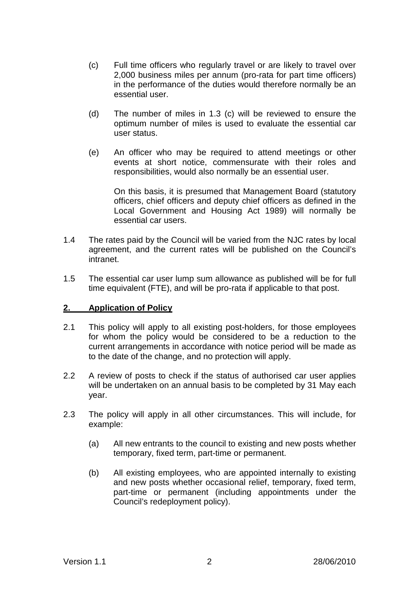- (c) Full time officers who regularly travel or are likely to travel over 2,000 business miles per annum (pro-rata for part time officers) in the performance of the duties would therefore normally be an essential user.
- (d) The number of miles in 1.3 (c) will be reviewed to ensure the optimum number of miles is used to evaluate the essential car user status.
- (e) An officer who may be required to attend meetings or other events at short notice, commensurate with their roles and responsibilities, would also normally be an essential user.

On this basis, it is presumed that Management Board (statutory officers, chief officers and deputy chief officers as defined in the Local Government and Housing Act 1989) will normally be essential car users.

- 1.4 The rates paid by the Council will be varied from the NJC rates by local agreement, and the current rates will be published on the Council's intranet.
- 1.5 The essential car user lump sum allowance as published will be for full time equivalent (FTE), and will be pro-rata if applicable to that post.

# **2. Application of Policy**

- 2.1 This policy will apply to all existing post-holders, for those employees for whom the policy would be considered to be a reduction to the current arrangements in accordance with notice period will be made as to the date of the change, and no protection will apply.
- 2.2 A review of posts to check if the status of authorised car user applies will be undertaken on an annual basis to be completed by 31 May each year.
- 2.3 The policy will apply in all other circumstances. This will include, for example:
	- (a) All new entrants to the council to existing and new posts whether temporary, fixed term, part-time or permanent.
	- (b) All existing employees, who are appointed internally to existing and new posts whether occasional relief, temporary, fixed term, part-time or permanent (including appointments under the Council's redeployment policy).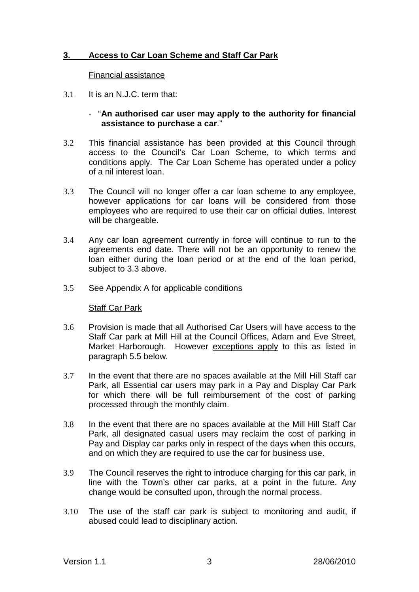# **3. Access to Car Loan Scheme and Staff Car Park**

#### Financial assistance

- 3.1 It is an N.J.C. term that:
	- "**An authorised car user may apply to the authority for financial assistance to purchase a car**."
- 3.2 This financial assistance has been provided at this Council through access to the Council's Car Loan Scheme, to which terms and conditions apply. The Car Loan Scheme has operated under a policy of a nil interest loan.
- 3.3 The Council will no longer offer a car loan scheme to any employee, however applications for car loans will be considered from those employees who are required to use their car on official duties. Interest will be chargeable.
- 3.4 Any car loan agreement currently in force will continue to run to the agreements end date. There will not be an opportunity to renew the loan either during the loan period or at the end of the loan period, subject to 3.3 above.
- 3.5 See Appendix A for applicable conditions

### Staff Car Park

- 3.6 Provision is made that all Authorised Car Users will have access to the Staff Car park at Mill Hill at the Council Offices, Adam and Eve Street, Market Harborough. However exceptions apply to this as listed in paragraph 5.5 below.
- 3.7 In the event that there are no spaces available at the Mill Hill Staff car Park, all Essential car users may park in a Pay and Display Car Park for which there will be full reimbursement of the cost of parking processed through the monthly claim.
- 3.8 In the event that there are no spaces available at the Mill Hill Staff Car Park, all designated casual users may reclaim the cost of parking in Pay and Display car parks only in respect of the days when this occurs, and on which they are required to use the car for business use.
- 3.9 The Council reserves the right to introduce charging for this car park, in line with the Town's other car parks, at a point in the future. Any change would be consulted upon, through the normal process.
- 3.10 The use of the staff car park is subject to monitoring and audit, if abused could lead to disciplinary action.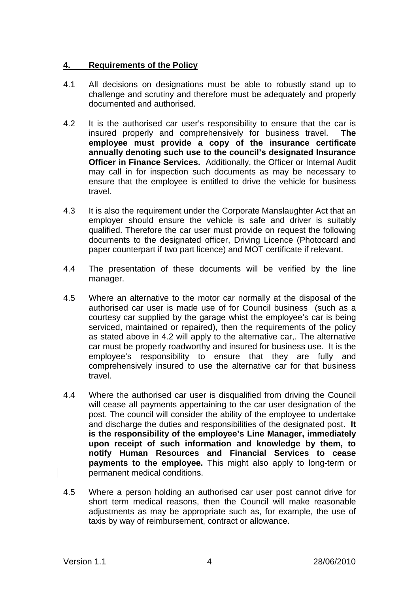### **4. Requirements of the Policy**

- 4.1 All decisions on designations must be able to robustly stand up to challenge and scrutiny and therefore must be adequately and properly documented and authorised.
- 4.2 It is the authorised car user's responsibility to ensure that the car is insured properly and comprehensively for business travel. **The employee must provide a copy of the insurance certificate annually denoting such use to the council's designated Insurance Officer in Finance Services.** Additionally, the Officer or Internal Audit may call in for inspection such documents as may be necessary to ensure that the employee is entitled to drive the vehicle for business travel.
- 4.3 It is also the requirement under the Corporate Manslaughter Act that an employer should ensure the vehicle is safe and driver is suitably qualified. Therefore the car user must provide on request the following documents to the designated officer, Driving Licence (Photocard and paper counterpart if two part licence) and MOT certificate if relevant.
- 4.4 The presentation of these documents will be verified by the line manager.
- 4.5 Where an alternative to the motor car normally at the disposal of the authorised car user is made use of for Council business (such as a courtesy car supplied by the garage whist the employee's car is being serviced, maintained or repaired), then the requirements of the policy as stated above in 4.2 will apply to the alternative car,. The alternative car must be properly roadworthy and insured for business use. It is the employee's responsibility to ensure that they are fully and comprehensively insured to use the alternative car for that business travel.
- 4.4 Where the authorised car user is disqualified from driving the Council will cease all payments appertaining to the car user designation of the post. The council will consider the ability of the employee to undertake and discharge the duties and responsibilities of the designated post. **It is the responsibility of the employee's Line Manager, immediately upon receipt of such information and knowledge by them, to notify Human Resources and Financial Services to cease payments to the employee.** This might also apply to long-term or permanent medical conditions.
- 4.5 Where a person holding an authorised car user post cannot drive for short term medical reasons, then the Council will make reasonable adjustments as may be appropriate such as, for example, the use of taxis by way of reimbursement, contract or allowance.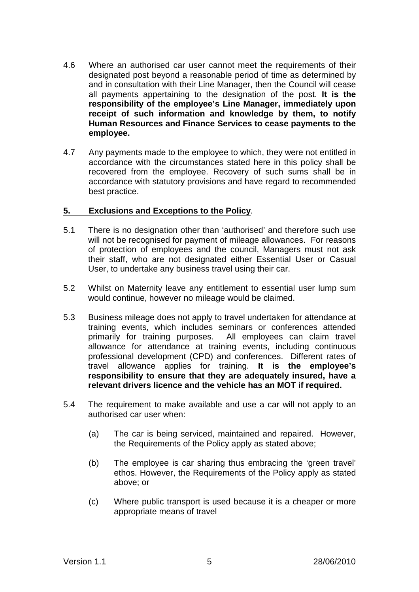- 4.6 Where an authorised car user cannot meet the requirements of their designated post beyond a reasonable period of time as determined by and in consultation with their Line Manager, then the Council will cease all payments appertaining to the designation of the post. **It is the responsibility of the employee's Line Manager, immediately upon receipt of such information and knowledge by them, to notify Human Resources and Finance Services to cease payments to the employee.**
- 4.7 Any payments made to the employee to which, they were not entitled in accordance with the circumstances stated here in this policy shall be recovered from the employee. Recovery of such sums shall be in accordance with statutory provisions and have regard to recommended best practice.

### **5. Exclusions and Exceptions to the Policy**.

- 5.1 There is no designation other than 'authorised' and therefore such use will not be recognised for payment of mileage allowances. For reasons of protection of employees and the council, Managers must not ask their staff, who are not designated either Essential User or Casual User, to undertake any business travel using their car.
- 5.2 Whilst on Maternity leave any entitlement to essential user lump sum would continue, however no mileage would be claimed.
- 5.3 Business mileage does not apply to travel undertaken for attendance at training events, which includes seminars or conferences attended primarily for training purposes. All employees can claim travel allowance for attendance at training events, including continuous professional development (CPD) and conferences. Different rates of travel allowance applies for training. **It is the employee's responsibility to ensure that they are adequately insured, have a relevant drivers licence and the vehicle has an MOT if required.**
- 5.4 The requirement to make available and use a car will not apply to an authorised car user when:
	- (a) The car is being serviced, maintained and repaired. However, the Requirements of the Policy apply as stated above;
	- (b) The employee is car sharing thus embracing the 'green travel' ethos. However, the Requirements of the Policy apply as stated above; or
	- (c) Where public transport is used because it is a cheaper or more appropriate means of travel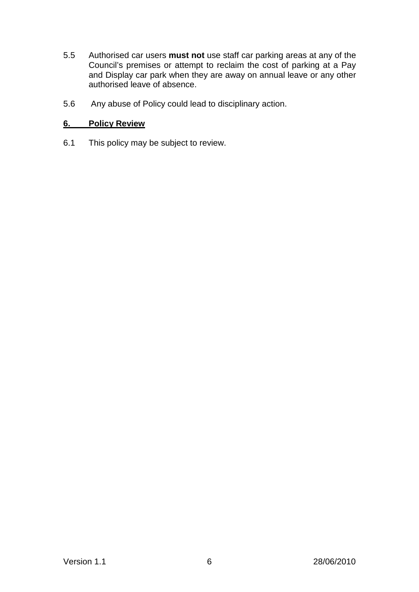- 5.5 Authorised car users **must not** use staff car parking areas at any of the Council's premises or attempt to reclaim the cost of parking at a Pay and Display car park when they are away on annual leave or any other authorised leave of absence.
- 5.6 Any abuse of Policy could lead to disciplinary action.

### **6. Policy Review**

6.1 This policy may be subject to review.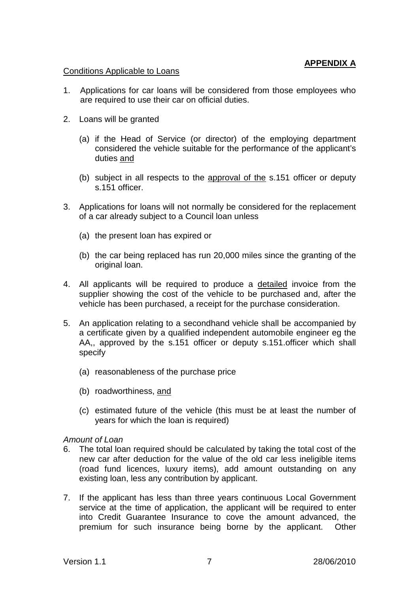# **APPENDIX A**

#### Conditions Applicable to Loans

- 1. Applications for car loans will be considered from those employees who are required to use their car on official duties.
- 2. Loans will be granted
	- (a) if the Head of Service (or director) of the employing department considered the vehicle suitable for the performance of the applicant's duties and
	- (b) subject in all respects to the approval of the s.151 officer or deputy s.151 officer.
- 3. Applications for loans will not normally be considered for the replacement of a car already subject to a Council loan unless
	- (a) the present loan has expired or
	- (b) the car being replaced has run 20,000 miles since the granting of the original loan.
- 4. All applicants will be required to produce a detailed invoice from the supplier showing the cost of the vehicle to be purchased and, after the vehicle has been purchased, a receipt for the purchase consideration.
- 5. An application relating to a secondhand vehicle shall be accompanied by a certificate given by a qualified independent automobile engineer eg the AA,, approved by the s.151 officer or deputy s.151.officer which shall specify
	- (a) reasonableness of the purchase price
	- (b) roadworthiness, and
	- (c) estimated future of the vehicle (this must be at least the number of years for which the loan is required)

### Amount of Loan

- 6. The total loan required should be calculated by taking the total cost of the new car after deduction for the value of the old car less ineligible items (road fund licences, luxury items), add amount outstanding on any existing loan, less any contribution by applicant.
- 7. If the applicant has less than three years continuous Local Government service at the time of application, the applicant will be required to enter into Credit Guarantee Insurance to cove the amount advanced, the premium for such insurance being borne by the applicant. Other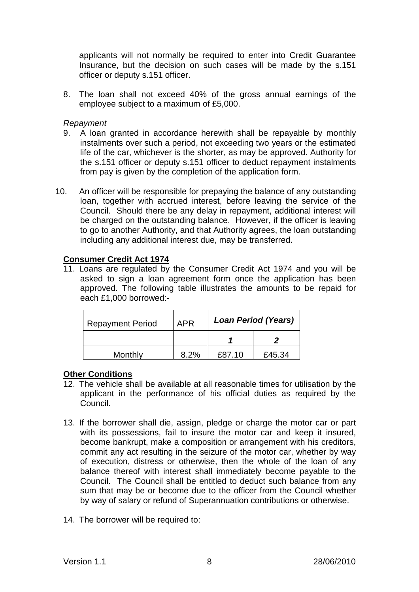applicants will not normally be required to enter into Credit Guarantee Insurance, but the decision on such cases will be made by the s.151 officer or deputy s.151 officer.

8. The loan shall not exceed 40% of the gross annual earnings of the employee subject to a maximum of £5,000.

#### Repayment

- 9. A loan granted in accordance herewith shall be repayable by monthly instalments over such a period, not exceeding two years or the estimated life of the car, whichever is the shorter, as may be approved. Authority for the s.151 officer or deputy s.151 officer to deduct repayment instalments from pay is given by the completion of the application form.
- 10. An officer will be responsible for prepaying the balance of any outstanding loan, together with accrued interest, before leaving the service of the Council. Should there be any delay in repayment, additional interest will be charged on the outstanding balance. However, if the officer is leaving to go to another Authority, and that Authority agrees, the loan outstanding including any additional interest due, may be transferred.

### **Consumer Credit Act 1974**

11. Loans are regulated by the Consumer Credit Act 1974 and you will be asked to sign a loan agreement form once the application has been approved. The following table illustrates the amounts to be repaid for each £1,000 borrowed:-

| <b>Repayment Period</b> | <b>APR</b> | <b>Loan Period (Years)</b> |        |
|-------------------------|------------|----------------------------|--------|
|                         |            |                            |        |
| Monthly                 | 8.2%       | £87.10                     | £45.34 |

### **Other Conditions**

- 12. The vehicle shall be available at all reasonable times for utilisation by the applicant in the performance of his official duties as required by the Council.
- 13. If the borrower shall die, assign, pledge or charge the motor car or part with its possessions, fail to insure the motor car and keep it insured, become bankrupt, make a composition or arrangement with his creditors, commit any act resulting in the seizure of the motor car, whether by way of execution, distress or otherwise, then the whole of the loan of any balance thereof with interest shall immediately become payable to the Council. The Council shall be entitled to deduct such balance from any sum that may be or become due to the officer from the Council whether by way of salary or refund of Superannuation contributions or otherwise.
- 14. The borrower will be required to: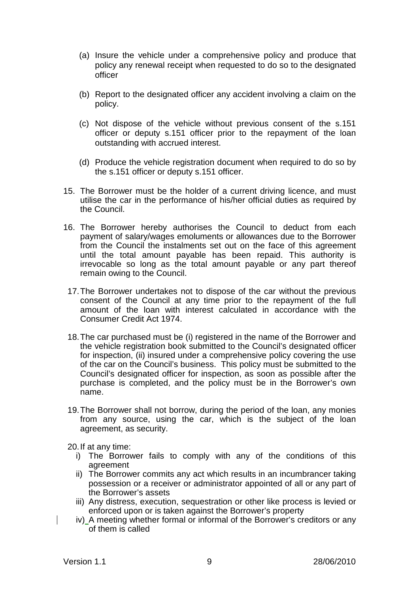- (a) Insure the vehicle under a comprehensive policy and produce that policy any renewal receipt when requested to do so to the designated officer
- (b) Report to the designated officer any accident involving a claim on the policy.
- (c) Not dispose of the vehicle without previous consent of the s.151 officer or deputy s.151 officer prior to the repayment of the loan outstanding with accrued interest.
- (d) Produce the vehicle registration document when required to do so by the s.151 officer or deputy s.151 officer.
- 15. The Borrower must be the holder of a current driving licence, and must utilise the car in the performance of his/her official duties as required by the Council.
- 16. The Borrower hereby authorises the Council to deduct from each payment of salary/wages emoluments or allowances due to the Borrower from the Council the instalments set out on the face of this agreement until the total amount payable has been repaid. This authority is irrevocable so long as the total amount payable or any part thereof remain owing to the Council.
- 17. The Borrower undertakes not to dispose of the car without the previous consent of the Council at any time prior to the repayment of the full amount of the loan with interest calculated in accordance with the Consumer Credit Act 1974.
- 18. The car purchased must be (i) registered in the name of the Borrower and the vehicle registration book submitted to the Council's designated officer for inspection, (ii) insured under a comprehensive policy covering the use of the car on the Council's business. This policy must be submitted to the Council's designated officer for inspection, as soon as possible after the purchase is completed, and the policy must be in the Borrower's own name.
- 19. The Borrower shall not borrow, during the period of the loan, any monies from any source, using the car, which is the subject of the loan agreement, as security.

20. If at any time:

- i) The Borrower fails to comply with any of the conditions of this agreement
- ii) The Borrower commits any act which results in an incumbrancer taking possession or a receiver or administrator appointed of all or any part of the Borrower's assets
- iii) Any distress, execution, sequestration or other like process is levied or enforced upon or is taken against the Borrower's property
- iv) A meeting whether formal or informal of the Borrower's creditors or any of them is called